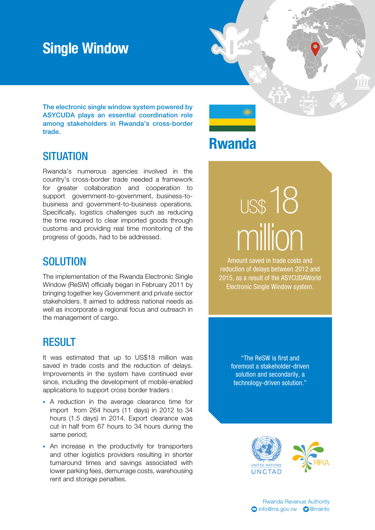### Single Window

The electronic single window system powered by ASYCUDA plays an essential coordination role among stakeholders in Rwanda's cross-border trade.

#### **SITUATION**

Rwanda's numerous agencies involved in the country's cross-border trade needed a framework for greater collaboration and cooperation to support government-to-government, business-tobusiness and government-to-business operations. Specifically, logistics challenges such as reducing the time required to clear imported goods through customs and providing real time monitoring of the progress of goods, had to be addressed.

#### **SOLUTION**

The implementation of the Rwanda Electronic Single Window (ReSW) officially began in February 2011 by bringing together key Government and private sector stakeholders. It aimed to address national needs as well as incorporate a regional focus and outreach in the management of cargo.

#### **RESULT**

It was estimated that up to US\$18 million was saved in trade costs and the reduction of delays. Improvements in the system have continued ever since, including the development of mobile-enabled applications to support cross border traders :

- A reduction in the average clearance time for import from 264 hours (11 days) in 2012 to 34 hours (1.5 days) in 2014. Export clearance was cut in half from 67 hours to 34 hours during the same period;
- An increase in the productivity for transporters and other logistics providers resulting in shorter turnaround times and savings associated with lower parking fees, demurrage costs, warehousing rent and storage penalties.

Rwanda

# US\$18 million

Amount saved in trade costs and reduction of delays between 2012 and 2015, as a result of the ASYCUDAWorld Electronic Single Window system.

> "The ReSW is first and foremost a stakeholder-driven solution and secondarily, a technology-driven solution."